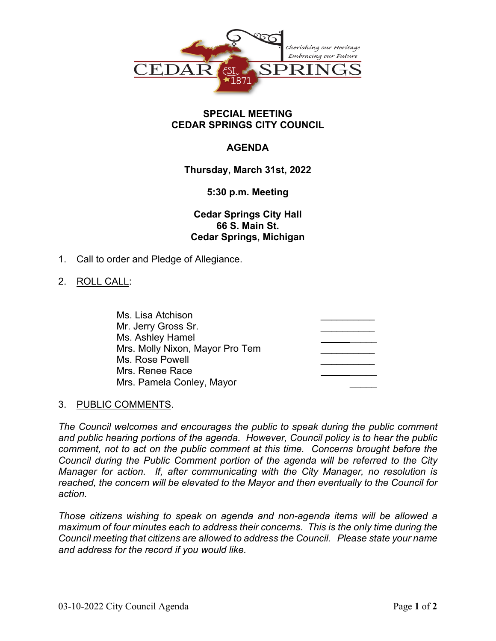

### **SPECIAL MEETING CEDAR SPRINGS CITY COUNCIL**

# **AGENDA**

# **Thursday, March 31st, 2022**

### **5:30 p.m. Meeting**

# **Cedar Springs City Hall 66 S. Main St. Cedar Springs, Michigan**

1. Call to order and Pledge of Allegiance.

### 2. ROLL CALL:

| Ms. Lisa Atchison               |  |
|---------------------------------|--|
| Mr. Jerry Gross Sr.             |  |
| Ms. Ashley Hamel                |  |
| Mrs. Molly Nixon, Mayor Pro Tem |  |
| Ms. Rose Powell                 |  |
| Mrs. Renee Race                 |  |
| Mrs. Pamela Conley, Mayor       |  |

### 3. PUBLIC COMMENTS.

*The Council welcomes and encourages the public to speak during the public comment and public hearing portions of the agenda. However, Council policy is to hear the public comment, not to act on the public comment at this time. Concerns brought before the Council during the Public Comment portion of the agenda will be referred to the City Manager for action. If, after communicating with the City Manager, no resolution is reached, the concern will be elevated to the Mayor and then eventually to the Council for action.*

*Those citizens wishing to speak on agenda and non-agenda items will be allowed a maximum of four minutes each to address their concerns. This is the only time during the Council meeting that citizens are allowed to address the Council. Please state your name and address for the record if you would like.*